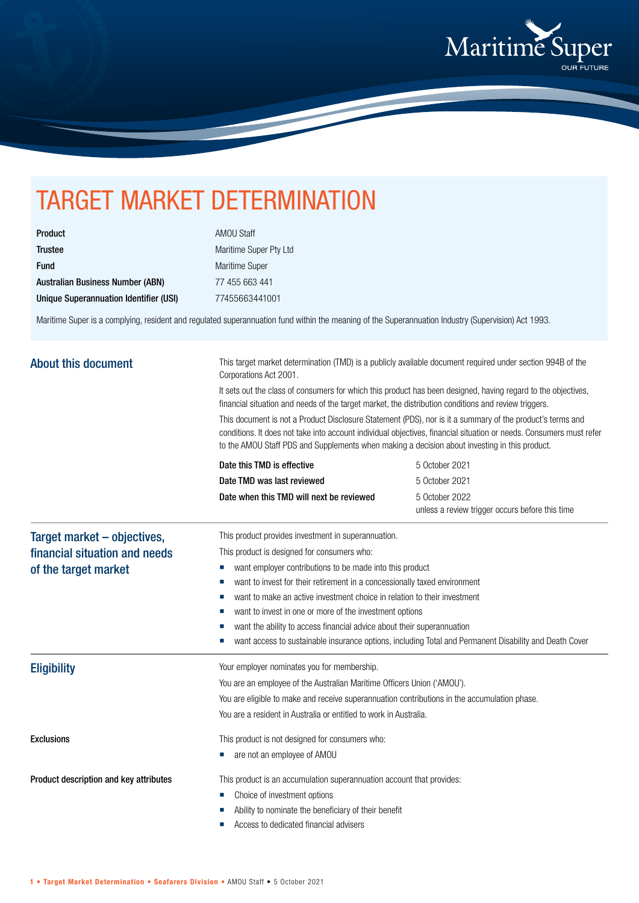

## TARGET MARKET DETERMINATION

| <b>Product</b>                          |
|-----------------------------------------|
| <b>Trustee</b>                          |
| <b>Fund</b>                             |
| <b>Australian Business Number (ABN)</b> |
| Unique Superannuation Identifier (USI)  |

AMOU Staff Maritime Super Pty Ltd Maritime Super 77 455 663 441 Unique Superannuation Identifier (USI) 77455663441001

Maritime Super is a complying, resident and regulated superannuation fund within the meaning of the Superannuation Industry (Supervision) Act 1993.

| <b>About this document</b>                            | This target market determination (TMD) is a publicly available document required under section 994B of the<br>Corporations Act 2001.<br>It sets out the class of consumers for which this product has been designed, having regard to the objectives,<br>financial situation and needs of the target market, the distribution conditions and review triggers.<br>This document is not a Product Disclosure Statement (PDS), nor is it a summary of the product's terms and<br>conditions. It does not take into account individual objectives, financial situation or needs. Consumers must refer<br>to the AMOU Staff PDS and Supplements when making a decision about investing in this product. |                                                                   |  |  |                            |                |
|-------------------------------------------------------|----------------------------------------------------------------------------------------------------------------------------------------------------------------------------------------------------------------------------------------------------------------------------------------------------------------------------------------------------------------------------------------------------------------------------------------------------------------------------------------------------------------------------------------------------------------------------------------------------------------------------------------------------------------------------------------------------|-------------------------------------------------------------------|--|--|----------------------------|----------------|
|                                                       |                                                                                                                                                                                                                                                                                                                                                                                                                                                                                                                                                                                                                                                                                                    |                                                                   |  |  | Date this TMD is effective | 5 October 2021 |
|                                                       |                                                                                                                                                                                                                                                                                                                                                                                                                                                                                                                                                                                                                                                                                                    |                                                                   |  |  | Date TMD was last reviewed | 5 October 2021 |
|                                                       | Date when this TMD will next be reviewed                                                                                                                                                                                                                                                                                                                                                                                                                                                                                                                                                                                                                                                           | 5 October 2022<br>unless a review trigger occurs before this time |  |  |                            |                |
| Target market - objectives,                           | This product provides investment in superannuation.                                                                                                                                                                                                                                                                                                                                                                                                                                                                                                                                                                                                                                                |                                                                   |  |  |                            |                |
| financial situation and needs<br>of the target market | This product is designed for consumers who:                                                                                                                                                                                                                                                                                                                                                                                                                                                                                                                                                                                                                                                        |                                                                   |  |  |                            |                |
|                                                       | want employer contributions to be made into this product<br>ш                                                                                                                                                                                                                                                                                                                                                                                                                                                                                                                                                                                                                                      |                                                                   |  |  |                            |                |
|                                                       | want to invest for their retirement in a concessionally taxed environment<br>ш                                                                                                                                                                                                                                                                                                                                                                                                                                                                                                                                                                                                                     |                                                                   |  |  |                            |                |
|                                                       | want to make an active investment choice in relation to their investment                                                                                                                                                                                                                                                                                                                                                                                                                                                                                                                                                                                                                           |                                                                   |  |  |                            |                |
|                                                       | want to invest in one or more of the investment options                                                                                                                                                                                                                                                                                                                                                                                                                                                                                                                                                                                                                                            |                                                                   |  |  |                            |                |
|                                                       | want the ability to access financial advice about their superannuation<br>want access to sustainable insurance options, including Total and Permanent Disability and Death Cover                                                                                                                                                                                                                                                                                                                                                                                                                                                                                                                   |                                                                   |  |  |                            |                |
|                                                       | ш                                                                                                                                                                                                                                                                                                                                                                                                                                                                                                                                                                                                                                                                                                  |                                                                   |  |  |                            |                |
| <b>Eligibility</b>                                    | Your employer nominates you for membership.                                                                                                                                                                                                                                                                                                                                                                                                                                                                                                                                                                                                                                                        |                                                                   |  |  |                            |                |
|                                                       | You are an employee of the Australian Maritime Officers Union ('AMOU').                                                                                                                                                                                                                                                                                                                                                                                                                                                                                                                                                                                                                            |                                                                   |  |  |                            |                |
|                                                       | You are eligible to make and receive superannuation contributions in the accumulation phase.                                                                                                                                                                                                                                                                                                                                                                                                                                                                                                                                                                                                       |                                                                   |  |  |                            |                |
|                                                       | You are a resident in Australia or entitled to work in Australia.                                                                                                                                                                                                                                                                                                                                                                                                                                                                                                                                                                                                                                  |                                                                   |  |  |                            |                |
| <b>Exclusions</b>                                     | This product is not designed for consumers who:                                                                                                                                                                                                                                                                                                                                                                                                                                                                                                                                                                                                                                                    |                                                                   |  |  |                            |                |
|                                                       | are not an employee of AMOU                                                                                                                                                                                                                                                                                                                                                                                                                                                                                                                                                                                                                                                                        |                                                                   |  |  |                            |                |
| Product description and key attributes                | This product is an accumulation superannuation account that provides:                                                                                                                                                                                                                                                                                                                                                                                                                                                                                                                                                                                                                              |                                                                   |  |  |                            |                |
|                                                       | Choice of investment options                                                                                                                                                                                                                                                                                                                                                                                                                                                                                                                                                                                                                                                                       |                                                                   |  |  |                            |                |
|                                                       | Ability to nominate the beneficiary of their benefit                                                                                                                                                                                                                                                                                                                                                                                                                                                                                                                                                                                                                                               |                                                                   |  |  |                            |                |
|                                                       | Access to dedicated financial advisers                                                                                                                                                                                                                                                                                                                                                                                                                                                                                                                                                                                                                                                             |                                                                   |  |  |                            |                |
|                                                       |                                                                                                                                                                                                                                                                                                                                                                                                                                                                                                                                                                                                                                                                                                    |                                                                   |  |  |                            |                |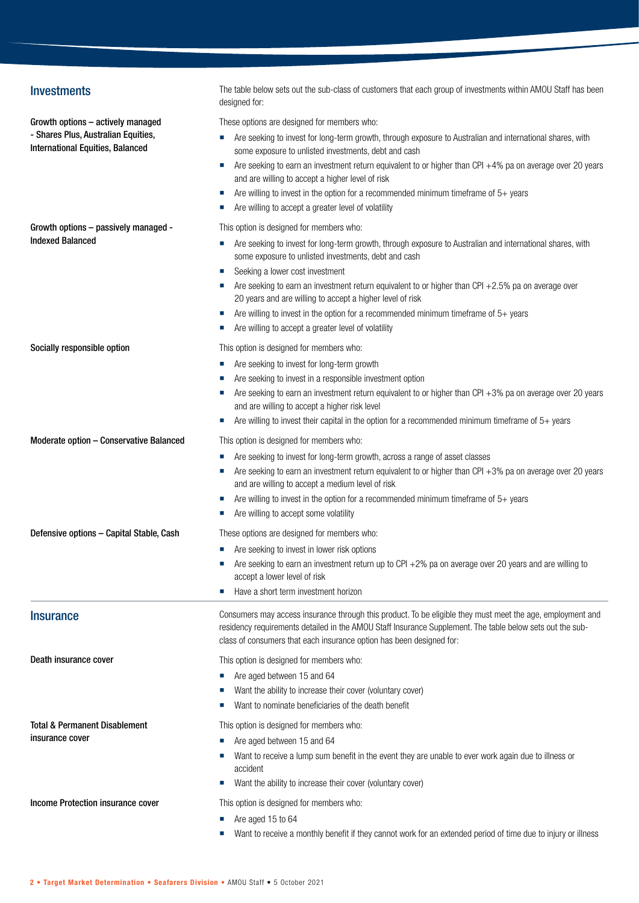| <b>Investments</b>                                                             | The table below sets out the sub-class of customers that each group of investments within AMOU Staff has been<br>designed for:                                                                                                                                                                  |
|--------------------------------------------------------------------------------|-------------------------------------------------------------------------------------------------------------------------------------------------------------------------------------------------------------------------------------------------------------------------------------------------|
| Growth options - actively managed                                              | These options are designed for members who:                                                                                                                                                                                                                                                     |
| - Shares Plus, Australian Equities,<br><b>International Equities, Balanced</b> | Are seeking to invest for long-term growth, through exposure to Australian and international shares, with<br>some exposure to unlisted investments, debt and cash                                                                                                                               |
|                                                                                | Are seeking to earn an investment return equivalent to or higher than CPI +4% pa on average over 20 years                                                                                                                                                                                       |
|                                                                                | and are willing to accept a higher level of risk                                                                                                                                                                                                                                                |
|                                                                                | Are willing to invest in the option for a recommended minimum timeframe of $5+$ years<br>ш<br>Are willing to accept a greater level of volatility                                                                                                                                               |
| Growth options - passively managed -                                           | This option is designed for members who:                                                                                                                                                                                                                                                        |
| <b>Indexed Balanced</b>                                                        | Are seeking to invest for long-term growth, through exposure to Australian and international shares, with<br>some exposure to unlisted investments, debt and cash                                                                                                                               |
|                                                                                | Seeking a lower cost investment                                                                                                                                                                                                                                                                 |
|                                                                                | Are seeking to earn an investment return equivalent to or higher than CPI +2.5% pa on average over<br>20 years and are willing to accept a higher level of risk                                                                                                                                 |
|                                                                                | Are willing to invest in the option for a recommended minimum timeframe of 5+ years<br>×                                                                                                                                                                                                        |
|                                                                                | Are willing to accept a greater level of volatility<br>ш                                                                                                                                                                                                                                        |
| Socially responsible option                                                    | This option is designed for members who:                                                                                                                                                                                                                                                        |
|                                                                                | Are seeking to invest for long-term growth                                                                                                                                                                                                                                                      |
|                                                                                | Are seeking to invest in a responsible investment option                                                                                                                                                                                                                                        |
|                                                                                | Are seeking to earn an investment return equivalent to or higher than CPI +3% pa on average over 20 years<br>and are willing to accept a higher risk level                                                                                                                                      |
|                                                                                | Are willing to invest their capital in the option for a recommended minimum timeframe of $5+$ years                                                                                                                                                                                             |
| Moderate option - Conservative Balanced                                        | This option is designed for members who:                                                                                                                                                                                                                                                        |
|                                                                                | Are seeking to invest for long-term growth, across a range of asset classes<br>ш                                                                                                                                                                                                                |
|                                                                                | Are seeking to earn an investment return equivalent to or higher than CPI +3% pa on average over 20 years<br>and are willing to accept a medium level of risk                                                                                                                                   |
|                                                                                | Are willing to invest in the option for a recommended minimum timeframe of $5+$ years                                                                                                                                                                                                           |
|                                                                                | Are willing to accept some volatility                                                                                                                                                                                                                                                           |
| Defensive options - Capital Stable, Cash                                       | These options are designed for members who:                                                                                                                                                                                                                                                     |
|                                                                                | Are seeking to invest in lower risk options<br>$\mathbf{r}$                                                                                                                                                                                                                                     |
|                                                                                | Are seeking to earn an investment return up to CPI +2% pa on average over 20 years and are willing to<br>accept a lower level of risk                                                                                                                                                           |
|                                                                                | Have a short term investment horizon<br>ш                                                                                                                                                                                                                                                       |
| <b>Insurance</b>                                                               | Consumers may access insurance through this product. To be eligible they must meet the age, employment and<br>residency requirements detailed in the AMOU Staff Insurance Supplement. The table below sets out the sub-<br>class of consumers that each insurance option has been designed for: |
| Death insurance cover                                                          | This option is designed for members who:                                                                                                                                                                                                                                                        |
|                                                                                | Are aged between 15 and 64                                                                                                                                                                                                                                                                      |
|                                                                                | Want the ability to increase their cover (voluntary cover)                                                                                                                                                                                                                                      |
|                                                                                | Want to nominate beneficiaries of the death benefit                                                                                                                                                                                                                                             |
| <b>Total &amp; Permanent Disablement</b>                                       | This option is designed for members who:                                                                                                                                                                                                                                                        |
| insurance cover                                                                | Are aged between 15 and 64                                                                                                                                                                                                                                                                      |
|                                                                                | Want to receive a lump sum benefit in the event they are unable to ever work again due to illness or<br>accident                                                                                                                                                                                |
|                                                                                | Want the ability to increase their cover (voluntary cover)                                                                                                                                                                                                                                      |
| Income Protection insurance cover                                              | This option is designed for members who:                                                                                                                                                                                                                                                        |
|                                                                                | Are aged 15 to 64                                                                                                                                                                                                                                                                               |
|                                                                                | Want to receive a monthly benefit if they cannot work for an extended period of time due to injury or illness                                                                                                                                                                                   |